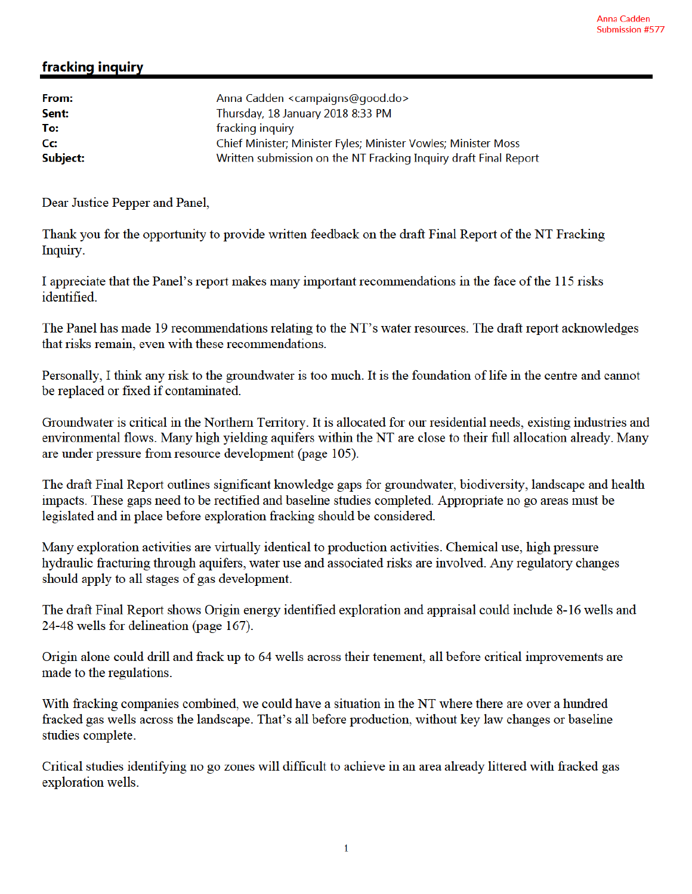## fracking inquiry

| From:    | Anna Cadden <campaigns@good.do></campaigns@good.do>              |
|----------|------------------------------------------------------------------|
| Sent:    | Thursday, 18 January 2018 8:33 PM                                |
| To:      | fracking inquiry                                                 |
| cc:      | Chief Minister; Minister Fyles; Minister Vowles; Minister Moss   |
| Subject: | Written submission on the NT Fracking Inquiry draft Final Report |

Dear Justice Pepper and Panel,

Thank you for the opportunity to provide written feedback on the draft Final Report of the NT Fracking Inquiry.

I appreciate that the Panel's report makes many important recommendations in the face of the 115 risks identified.

The Panel has made 19 recommendations relating to the NT's water resources. The draft report acknowledges that risks remain, even with these recommendations.

Personally, I think any risk to the groundwater is too much. It is the foundation of life in the centre and cannot be replaced or fixed if contaminated.

Groundwater is critical in the Northern Territory. It is allocated for our residential needs, existing industries and environmental flows. Many high yielding aquifers within the NT are close to their full allocation already. Many are under pressure from resource development (page 105).

The draft Final Report outlines significant knowledge gaps for groundwater, biodiversity, landscape and health impacts. These gaps need to be rectified and baseline studies completed. Appropriate no go areas must be legislated and in place before exploration fracking should be considered.

Many exploration activities are virtually identical to production activities. Chemical use, high pressure hydraulic fracturing through aquifers, water use and associated risks are involved. Any regulatory changes should apply to all stages of gas development.

The draft Final Report shows Origin energy identified exploration and appraisal could include 8-16 wells and 24-48 wells for delineation (page 167).

Origin alone could drill and frack up to 64 wells across their tenement, all before critical improvements are made to the regulations.

With fracking companies combined, we could have a situation in the NT where there are over a hundred fracked gas wells across the landscape. That's all before production, without key law changes or baseline studies complete.

Critical studies identifying no go zones will difficult to achieve in an area already littered with fracked gas exploration wells.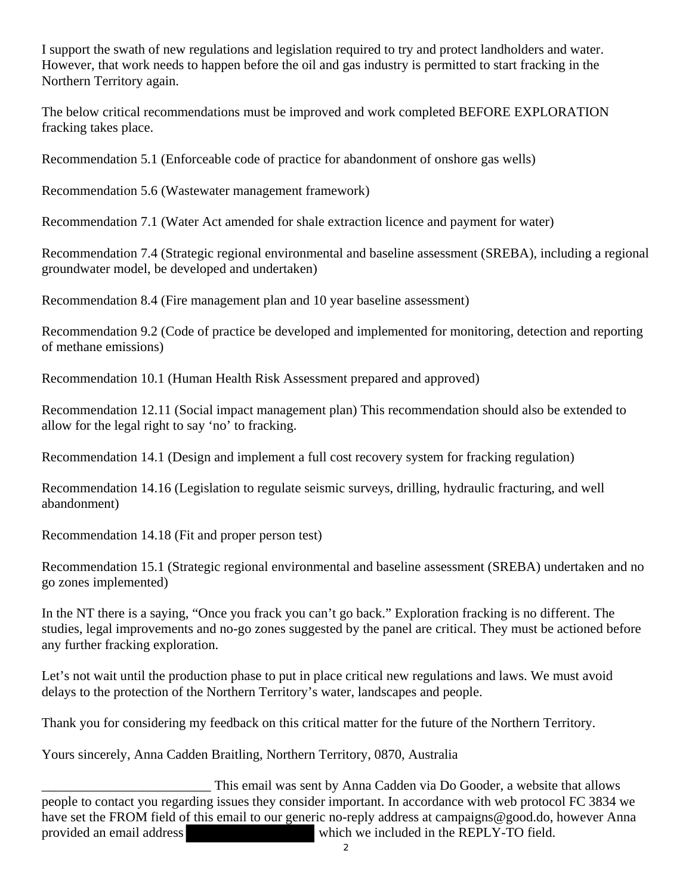I support the swath of new regulations and legislation required to try and protect landholders and water. However, that work needs to happen before the oil and gas industry is permitted to start fracking in the Northern Territory again.

The below critical recommendations must be improved and work completed BEFORE EXPLORATION fracking takes place.

Recommendation 5.1 (Enforceable code of practice for abandonment of onshore gas wells)

Recommendation 5.6 (Wastewater management framework)

Recommendation 7.1 (Water Act amended for shale extraction licence and payment for water)

Recommendation 7.4 (Strategic regional environmental and baseline assessment (SREBA), including a regional groundwater model, be developed and undertaken)

Recommendation 8.4 (Fire management plan and 10 year baseline assessment)

Recommendation 9.2 (Code of practice be developed and implemented for monitoring, detection and reporting of methane emissions)

Recommendation 10.1 (Human Health Risk Assessment prepared and approved)

Recommendation 12.11 (Social impact management plan) This recommendation should also be extended to allow for the legal right to say 'no' to fracking.

Recommendation 14.1 (Design and implement a full cost recovery system for fracking regulation)

Recommendation 14.16 (Legislation to regulate seismic surveys, drilling, hydraulic fracturing, and well abandonment)

Recommendation 14.18 (Fit and proper person test)

Recommendation 15.1 (Strategic regional environmental and baseline assessment (SREBA) undertaken and no go zones implemented)

In the NT there is a saying, "Once you frack you can't go back." Exploration fracking is no different. The studies, legal improvements and no-go zones suggested by the panel are critical. They must be actioned before any further fracking exploration.

Let's not wait until the production phase to put in place critical new regulations and laws. We must avoid delays to the protection of the Northern Territory's water, landscapes and people.

Thank you for considering my feedback on this critical matter for the future of the Northern Territory.

Yours sincerely, Anna Cadden Braitling, Northern Territory, 0870, Australia

This email was sent by Anna Cadden via Do Gooder, a website that allows people to contact you regarding issues they consider important. In accordance with web protocol FC 3834 we have set the FROM field of this email to our generic no-reply address at campaigns@good.do, however Anna provided an email address which we included in the REPLY-TO field.